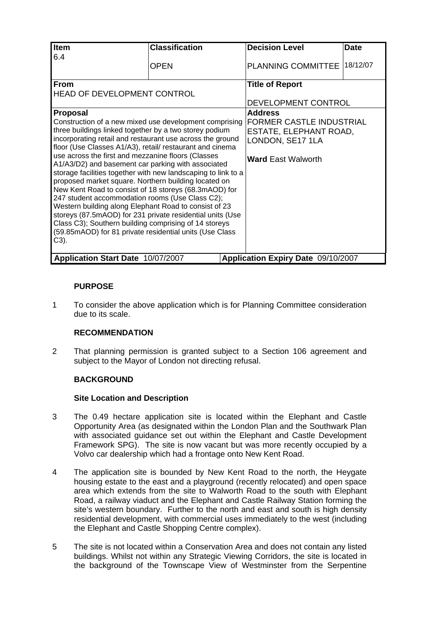| Item                                                                                                                                                                                                                                                                                                                                                                                                                                                                                                                                                                                                                                                                                                                                                                                                                                                                                                                    | <b>Classification</b> |  | <b>Decision Level</b>                                                                                                                                                  | <b>Date</b> |
|-------------------------------------------------------------------------------------------------------------------------------------------------------------------------------------------------------------------------------------------------------------------------------------------------------------------------------------------------------------------------------------------------------------------------------------------------------------------------------------------------------------------------------------------------------------------------------------------------------------------------------------------------------------------------------------------------------------------------------------------------------------------------------------------------------------------------------------------------------------------------------------------------------------------------|-----------------------|--|------------------------------------------------------------------------------------------------------------------------------------------------------------------------|-------------|
|                                                                                                                                                                                                                                                                                                                                                                                                                                                                                                                                                                                                                                                                                                                                                                                                                                                                                                                         |                       |  |                                                                                                                                                                        |             |
| 6.4                                                                                                                                                                                                                                                                                                                                                                                                                                                                                                                                                                                                                                                                                                                                                                                                                                                                                                                     | <b>OPEN</b>           |  | <b>PLANNING COMMITTEE</b>                                                                                                                                              | 18/12/07    |
| <b>From</b><br><b>HEAD OF DEVELOPMENT CONTROL</b><br><b>Proposal</b><br>Construction of a new mixed use development comprising<br>three buildings linked together by a two storey podium<br>incorporating retail and restaurant use across the ground<br>floor (Use Classes A1/A3), retail/ restaurant and cinema<br>use across the first and mezzanine floors (Classes<br>A1/A3/D2) and basement car parking with associated<br>storage facilities together with new landscaping to link to a<br>proposed market square. Northern building located on<br>New Kent Road to consist of 18 storeys (68.3mAOD) for<br>247 student accommodation rooms (Use Class C2);<br>Western building along Elephant Road to consist of 23<br>storeys (87.5mAOD) for 231 private residential units (Use<br>Class C3); Southern building comprising of 14 storeys<br>(59.85mAOD) for 81 private residential units (Use Class<br>$C3$ ). |                       |  | <b>Title of Report</b><br>DEVELOPMENT CONTROL<br><b>Address</b><br>FORMER CASTLE INDUSTRIAL<br>ESTATE, ELEPHANT ROAD,<br>LONDON, SE17 1LA<br><b>Ward East Walworth</b> |             |
| Application Start Date 10/07/2007                                                                                                                                                                                                                                                                                                                                                                                                                                                                                                                                                                                                                                                                                                                                                                                                                                                                                       |                       |  | Application Expiry Date 09/10/2007                                                                                                                                     |             |

# **PURPOSE**

1 To consider the above application which is for Planning Committee consideration due to its scale.

# **RECOMMENDATION**

2 That planning permission is granted subject to a Section 106 agreement and subject to the Mayor of London not directing refusal.

# **BACKGROUND**

### **Site Location and Description**

- 3 The 0.49 hectare application site is located within the Elephant and Castle Opportunity Area (as designated within the London Plan and the Southwark Plan with associated guidance set out within the Elephant and Castle Development Framework SPG). The site is now vacant but was more recently occupied by a Volvo car dealership which had a frontage onto New Kent Road.
- 4 The application site is bounded by New Kent Road to the north, the Heygate housing estate to the east and a playground (recently relocated) and open space area which extends from the site to Walworth Road to the south with Elephant Road, a railway viaduct and the Elephant and Castle Railway Station forming the site's western boundary. Further to the north and east and south is high density residential development, with commercial uses immediately to the west (including the Elephant and Castle Shopping Centre complex).
- 5 The site is not located within a Conservation Area and does not contain any listed buildings. Whilst not within any Strategic Viewing Corridors, the site is located in the background of the Townscape View of Westminster from the Serpentine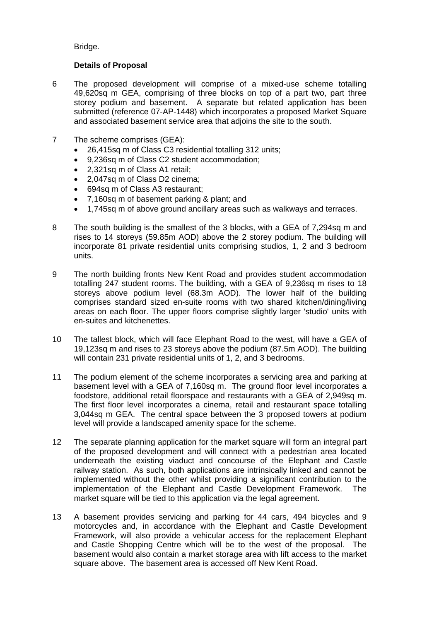Bridge.

### **Details of Proposal**

- 6 The proposed development will comprise of a mixed-use scheme totalling 49,620sq m GEA, comprising of three blocks on top of a part two, part three storey podium and basement. A separate but related application has been submitted (reference 07-AP-1448) which incorporates a proposed Market Square and associated basement service area that adjoins the site to the south.
- 7 The scheme comprises (GEA):
	- 26,415sq m of Class C3 residential totalling 312 units;
	- 9,236sq m of Class C2 student accommodation;
	- 2,321sq m of Class A1 retail;
	- 2,047sq m of Class D2 cinema;
	- 694sq m of Class A3 restaurant;
	- 7,160sq m of basement parking & plant; and
	- 1,745sq m of above ground ancillary areas such as walkways and terraces.
- 8 The south building is the smallest of the 3 blocks, with a GEA of 7,294sq m and rises to 14 storeys (59.85m AOD) above the 2 storey podium. The building will incorporate 81 private residential units comprising studios, 1, 2 and 3 bedroom units.
- 9 The north building fronts New Kent Road and provides student accommodation totalling 247 student rooms. The building, with a GEA of 9,236sq m rises to 18 storeys above podium level (68.3m AOD). The lower half of the building comprises standard sized en-suite rooms with two shared kitchen/dining/living areas on each floor. The upper floors comprise slightly larger 'studio' units with en-suites and kitchenettes.
- 10 The tallest block, which will face Elephant Road to the west, will have a GEA of 19,123sq m and rises to 23 storeys above the podium (87.5m AOD). The building will contain 231 private residential units of 1, 2, and 3 bedrooms.
- 11 The podium element of the scheme incorporates a servicing area and parking at basement level with a GEA of 7,160sq m. The ground floor level incorporates a foodstore, additional retail floorspace and restaurants with a GEA of 2,949sq m. The first floor level incorporates a cinema, retail and restaurant space totalling 3,044sq m GEA. The central space between the 3 proposed towers at podium level will provide a landscaped amenity space for the scheme.
- 12 The separate planning application for the market square will form an integral part of the proposed development and will connect with a pedestrian area located underneath the existing viaduct and concourse of the Elephant and Castle railway station. As such, both applications are intrinsically linked and cannot be implemented without the other whilst providing a significant contribution to the implementation of the Elephant and Castle Development Framework. The market square will be tied to this application via the legal agreement.
- 13 A basement provides servicing and parking for 44 cars, 494 bicycles and 9 motorcycles and, in accordance with the Elephant and Castle Development Framework, will also provide a vehicular access for the replacement Elephant and Castle Shopping Centre which will be to the west of the proposal. The basement would also contain a market storage area with lift access to the market square above. The basement area is accessed off New Kent Road.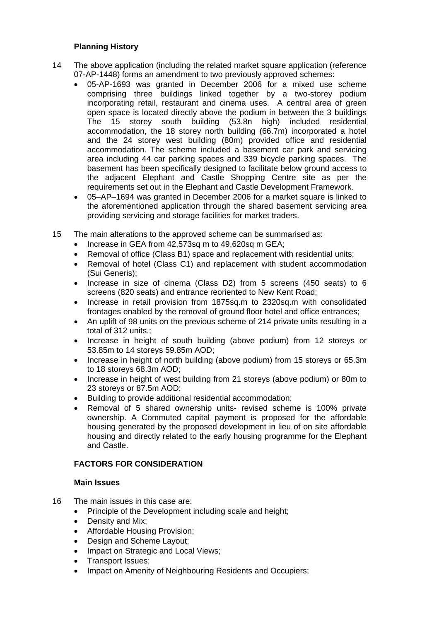### **Planning History**

- 14 The above application (including the related market square application (reference 07-AP-1448) forms an amendment to two previously approved schemes:
	- 05-AP-1693 was granted in December 2006 for a mixed use scheme comprising three buildings linked together by a two-storey podium incorporating retail, restaurant and cinema uses. A central area of green open space is located directly above the podium in between the 3 buildings The 15 storey south building (53.8n high) included residential accommodation, the 18 storey north building (66.7m) incorporated a hotel and the 24 storey west building (80m) provided office and residential accommodation. The scheme included a basement car park and servicing area including 44 car parking spaces and 339 bicycle parking spaces. The basement has been specifically designed to facilitate below ground access to the adjacent Elephant and Castle Shopping Centre site as per the requirements set out in the Elephant and Castle Development Framework.
	- 05–AP–1694 was granted in December 2006 for a market square is linked to the aforementioned application through the shared basement servicing area providing servicing and storage facilities for market traders.
- 15 The main alterations to the approved scheme can be summarised as:
	- Increase in GEA from 42,573sq m to 49,620sq m GEA;
	- Removal of office (Class B1) space and replacement with residential units:
	- Removal of hotel (Class C1) and replacement with student accommodation (Sui Generis);
	- Increase in size of cinema (Class D2) from 5 screens (450 seats) to 6 screens (820 seats) and entrance reoriented to New Kent Road;
	- Increase in retail provision from 1875sq.m to 2320sq.m with consolidated frontages enabled by the removal of ground floor hotel and office entrances;
	- An uplift of 98 units on the previous scheme of 214 private units resulting in a total of 312 units.;
	- Increase in height of south building (above podium) from 12 storeys or 53.85m to 14 storeys 59.85m AOD;
	- Increase in height of north building (above podium) from 15 storeys or 65.3m to 18 storeys 68.3m AOD;
	- Increase in height of west building from 21 storeys (above podium) or 80m to 23 storeys or 87.5m AOD;
	- Building to provide additional residential accommodation;
	- Removal of 5 shared ownership units- revised scheme is 100% private ownership. A Commuted capital payment is proposed for the affordable housing generated by the proposed development in lieu of on site affordable housing and directly related to the early housing programme for the Elephant and Castle.

# **FACTORS FOR CONSIDERATION**

### **Main Issues**

- 16 The main issues in this case are:
	- Principle of the Development including scale and height;
	- Density and Mix:
	- Affordable Housing Provision;
	- Design and Scheme Layout;
	- Impact on Strategic and Local Views;
	- Transport Issues;
	- Impact on Amenity of Neighbouring Residents and Occupiers;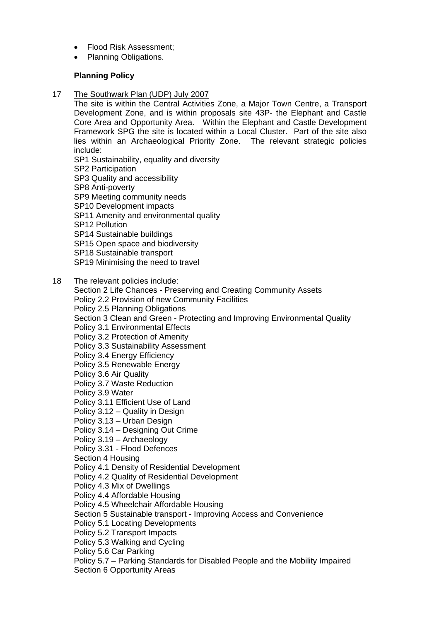- Flood Risk Assessment:
- Planning Obligations.

### **Planning Policy**

17 The Southwark Plan (UDP) July 2007

The site is within the Central Activities Zone, a Major Town Centre, a Transport Development Zone, and is within proposals site 43P- the Elephant and Castle Core Area and Opportunity Area. Within the Elephant and Castle Development Framework SPG the site is located within a Local Cluster. Part of the site also lies within an Archaeological Priority Zone. The relevant strategic policies include:

- SP1 Sustainability, equality and diversity
- SP2 Participation
- SP3 Quality and accessibility
- SP8 Anti-poverty
- SP9 Meeting community needs
- SP10 Development impacts
- SP11 Amenity and environmental quality
- SP12 Pollution
- SP14 Sustainable buildings
- SP15 Open space and biodiversity
- SP18 Sustainable transport
- SP19 Minimising the need to travel
- 18 The relevant policies include:
	- Section 2 Life Chances Preserving and Creating Community Assets
	- Policy 2.2 Provision of new Community Facilities
	- Policy 2.5 Planning Obligations
	- Section 3 Clean and Green Protecting and Improving Environmental Quality
	- Policy 3.1 Environmental Effects
	- Policy 3.2 Protection of Amenity
	- Policy 3.3 Sustainability Assessment
	- Policy 3.4 Energy Efficiency
	- Policy 3.5 Renewable Energy
	- Policy 3.6 Air Quality
	- Policy 3.7 Waste Reduction
	- Policy 3.9 Water
	- Policy 3.11 Efficient Use of Land
	- Policy 3.12 Quality in Design
	- Policy 3.13 Urban Design
	- Policy 3.14 Designing Out Crime
	- Policy 3.19 Archaeology
	- Policy 3.31 Flood Defences
	- Section 4 Housing
	- Policy 4.1 Density of Residential Development
	- Policy 4.2 Quality of Residential Development
	- Policy 4.3 Mix of Dwellings
	- Policy 4.4 Affordable Housing
	- Policy 4.5 Wheelchair Affordable Housing
	- Section 5 Sustainable transport Improving Access and Convenience
	- Policy 5.1 Locating Developments
	- Policy 5.2 Transport Impacts
	- Policy 5.3 Walking and Cycling
	- Policy 5.6 Car Parking
	- Policy 5.7 Parking Standards for Disabled People and the Mobility Impaired
	- Section 6 Opportunity Areas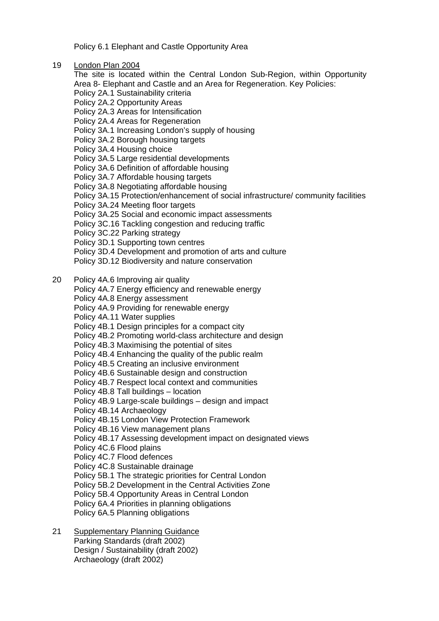Policy 6.1 Elephant and Castle Opportunity Area

19 London Plan 2004

The site is located within the Central London Sub-Region, within Opportunity Area 8- Elephant and Castle and an Area for Regeneration. Key Policies: Policy 2A.1 Sustainability criteria Policy 2A.2 Opportunity Areas Policy 2A.3 Areas for Intensification Policy 2A.4 Areas for Regeneration Policy 3A.1 Increasing London's supply of housing Policy 3A.2 Borough housing targets Policy 3A.4 Housing choice Policy 3A.5 Large residential developments Policy 3A.6 Definition of affordable housing Policy 3A.7 Affordable housing targets Policy 3A.8 Negotiating affordable housing Policy 3A.15 Protection/enhancement of social infrastructure/ community facilities Policy 3A.24 Meeting floor targets Policy 3A.25 Social and economic impact assessments Policy 3C.16 Tackling congestion and reducing traffic Policy 3C.22 Parking strategy Policy 3D.1 Supporting town centres Policy 3D.4 Development and promotion of arts and culture Policy 3D.12 Biodiversity and nature conservation 20 Policy 4A.6 Improving air quality Policy 4A.7 Energy efficiency and renewable energy Policy 4A.8 Energy assessment

Policy 4A.9 Providing for renewable energy

- Policy 4A.11 Water supplies
- Policy 4B.1 Design principles for a compact city
- Policy 4B.2 Promoting world-class architecture and design
- Policy 4B.3 Maximising the potential of sites

Policy 4B.4 Enhancing the quality of the public realm

Policy 4B.5 Creating an inclusive environment

Policy 4B.6 Sustainable design and construction

Policy 4B.7 Respect local context and communities

Policy 4B.8 Tall buildings – location

Policy 4B.9 Large-scale buildings – design and impact

Policy 4B.14 Archaeology

Policy 4B.15 London View Protection Framework

Policy 4B.16 View management plans

Policy 4B.17 Assessing development impact on designated views

- Policy 4C.6 Flood plains
- Policy 4C.7 Flood defences
- Policy 4C.8 Sustainable drainage
- Policy 5B.1 The strategic priorities for Central London
- Policy 5B.2 Development in the Central Activities Zone
- Policy 5B.4 Opportunity Areas in Central London
- Policy 6A.4 Priorities in planning obligations
- Policy 6A.5 Planning obligations
- 21 Supplementary Planning Guidance Parking Standards (draft 2002) Design / Sustainability (draft 2002) Archaeology (draft 2002)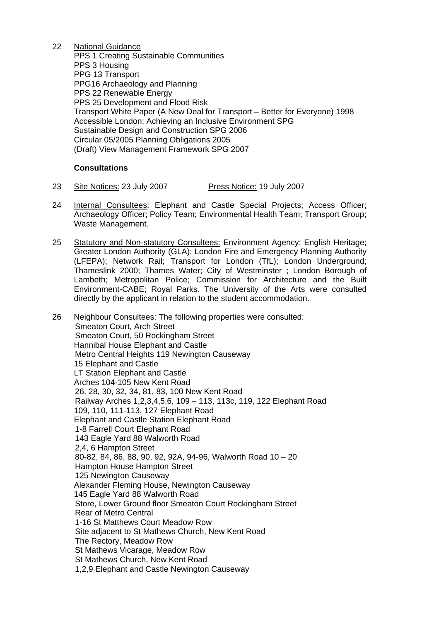22 National Guidance PPS 1 Creating Sustainable Communities PPS 3 Housing PPG 13 Transport PPG16 Archaeology and Planning PPS 22 Renewable Energy PPS 25 Development and Flood Risk Transport White Paper (A New Deal for Transport – Better for Everyone) 1998 Accessible London: Achieving an Inclusive Environment SPG Sustainable Design and Construction SPG 2006 Circular 05/2005 Planning Obligations 2005 (Draft) View Management Framework SPG 2007

## **Consultations**

- 23 Site Notices: 23 July 2007 Press Notice: 19 July 2007
- 24 Internal Consultees: Elephant and Castle Special Projects; Access Officer; Archaeology Officer; Policy Team; Environmental Health Team; Transport Group; Waste Management.
- 25 Statutory and Non-statutory Consultees: Environment Agency; English Heritage; Greater London Authority (GLA); London Fire and Emergency Planning Authority (LFEPA); Network Rail; Transport for London (TfL); London Underground; Thameslink 2000; Thames Water; City of Westminster ; London Borough of Lambeth; Metropolitan Police; Commission for Architecture and the Built Environment-CABE; Royal Parks. The University of the Arts were consulted directly by the applicant in relation to the student accommodation.
- 26 Neighbour Consultees: The following properties were consulted: Smeaton Court, Arch Street Smeaton Court, 50 Rockingham Street Hannibal House Elephant and Castle Metro Central Heights 119 Newington Causeway 15 Elephant and Castle LT Station Elephant and Castle Arches 104-105 New Kent Road 26, 28, 30, 32, 34, 81, 83, 100 New Kent Road Railway Arches 1,2,3,4,5,6, 109 – 113, 113c, 119, 122 Elephant Road 109, 110, 111-113, 127 Elephant Road Elephant and Castle Station Elephant Road 1-8 Farrell Court Elephant Road 143 Eagle Yard 88 Walworth Road 2,4, 6 Hampton Street 80-82, 84, 86, 88, 90, 92, 92A, 94-96, Walworth Road 10 – 20 Hampton House Hampton Street 125 Newington Causeway Alexander Fleming House, Newington Causeway 145 Eagle Yard 88 Walworth Road Store, Lower Ground floor Smeaton Court Rockingham Street Rear of Metro Central 1-16 St Matthews Court Meadow Row Site adjacent to St Mathews Church, New Kent Road The Rectory, Meadow Row St Mathews Vicarage, Meadow Row St Mathews Church, New Kent Road 1,2,9 Elephant and Castle Newington Causeway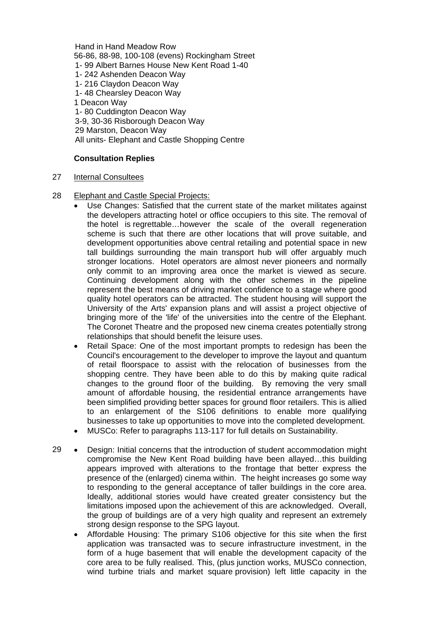Hand in Hand Meadow Row 56-86, 88-98, 100-108 (evens) Rockingham Street 1- 99 Albert Barnes House New Kent Road 1-40 1- 242 Ashenden Deacon Way 1- 216 Claydon Deacon Way 1- 48 Chearsley Deacon Way 1 Deacon Way 1- 80 Cuddington Deacon Way 3-9, 30-36 Risborough Deacon Way 29 Marston, Deacon Way All units- Elephant and Castle Shopping Centre

### **Consultation Replies**

- 27 Internal Consultees
- 28 Elephant and Castle Special Projects:
	- Use Changes: Satisfied that the current state of the market militates against the developers attracting hotel or office occupiers to this site. The removal of the hotel is regrettable…however the scale of the overall regeneration scheme is such that there are other locations that will prove suitable, and development opportunities above central retailing and potential space in new tall buildings surrounding the main transport hub will offer arguably much stronger locations. Hotel operators are almost never pioneers and normally only commit to an improving area once the market is viewed as secure. Continuing development along with the other schemes in the pipeline represent the best means of driving market confidence to a stage where good quality hotel operators can be attracted. The student housing will support the University of the Arts' expansion plans and will assist a project objective of bringing more of the 'life' of the universities into the centre of the Elephant. The Coronet Theatre and the proposed new cinema creates potentially strong relationships that should benefit the leisure uses.
	- Retail Space: One of the most important prompts to redesign has been the Council's encouragement to the developer to improve the layout and quantum of retail floorspace to assist with the relocation of businesses from the shopping centre. They have been able to do this by making quite radical changes to the ground floor of the building. By removing the very small amount of affordable housing, the residential entrance arrangements have been simplified providing better spaces for ground floor retailers. This is allied to an enlargement of the S106 definitions to enable more qualifying businesses to take up opportunities to move into the completed development.
	- MUSCo: Refer to paragraphs 113-117 for full details on Sustainability.
- 29 Design: Initial concerns that the introduction of student accommodation might compromise the New Kent Road building have been allayed…this building appears improved with alterations to the frontage that better express the presence of the (enlarged) cinema within. The height increases go some way to responding to the general acceptance of taller buildings in the core area. Ideally, additional stories would have created greater consistency but the limitations imposed upon the achievement of this are acknowledged. Overall, the group of buildings are of a very high quality and represent an extremely strong design response to the SPG layout.
	- Affordable Housing: The primary S106 objective for this site when the first application was transacted was to secure infrastructure investment, in the form of a huge basement that will enable the development capacity of the core area to be fully realised. This, (plus junction works, MUSCo connection, wind turbine trials and market square provision) left little capacity in the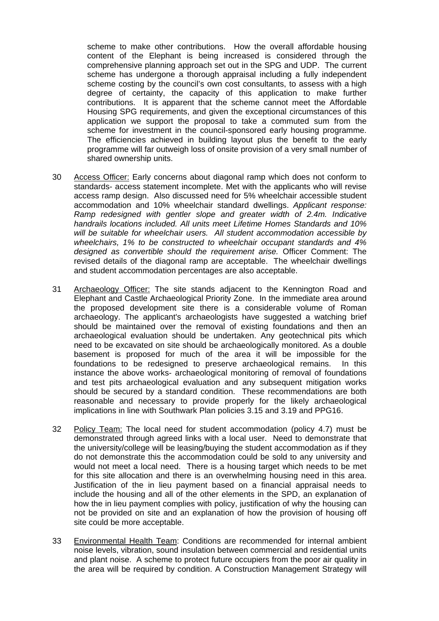scheme to make other contributions. How the overall affordable housing content of the Elephant is being increased is considered through the comprehensive planning approach set out in the SPG and UDP. The current scheme has undergone a thorough appraisal including a fully independent scheme costing by the council's own cost consultants, to assess with a high degree of certainty, the capacity of this application to make further contributions. It is apparent that the scheme cannot meet the Affordable Housing SPG requirements, and given the exceptional circumstances of this application we support the proposal to take a commuted sum from the scheme for investment in the council-sponsored early housing programme. The efficiencies achieved in building layout plus the benefit to the early programme will far outweigh loss of onsite provision of a very small number of shared ownership units.

- 30 Access Officer: Early concerns about diagonal ramp which does not conform to standards- access statement incomplete. Met with the applicants who will revise access ramp design. Also discussed need for 5% wheelchair accessible student accommodation and 10% wheelchair standard dwellings. *Applicant response: Ramp redesigned with gentler slope and greater width of 2.4m. Indicative handrails locations included. All units meet Lifetime Homes Standards and 10% will be suitable for wheelchair users. All student accommodation accessible by wheelchairs, 1% to be constructed to wheelchair occupant standards and 4% designed as convertible should the requirement arise.* Officer Comment: The revised details of the diagonal ramp are acceptable. The wheelchair dwellings and student accommodation percentages are also acceptable.
- 31 Archaeology Officer: The site stands adjacent to the Kennington Road and Elephant and Castle Archaeological Priority Zone. In the immediate area around the proposed development site there is a considerable volume of Roman archaeology. The applicant's archaeologists have suggested a watching brief should be maintained over the removal of existing foundations and then an archaeological evaluation should be undertaken. Any geotechnical pits which need to be excavated on site should be archaeologically monitored. As a double basement is proposed for much of the area it will be impossible for the foundations to be redesigned to preserve archaeological remains. In this instance the above works- archaeological monitoring of removal of foundations and test pits archaeological evaluation and any subsequent mitigation works should be secured by a standard condition. These recommendations are both reasonable and necessary to provide properly for the likely archaeological implications in line with Southwark Plan policies 3.15 and 3.19 and PPG16.
- 32 Policy Team: The local need for student accommodation (policy 4.7) must be demonstrated through agreed links with a local user. Need to demonstrate that the university/college will be leasing/buying the student accommodation as if they do not demonstrate this the accommodation could be sold to any university and would not meet a local need. There is a housing target which needs to be met for this site allocation and there is an overwhelming housing need in this area. Justification of the in lieu payment based on a financial appraisal needs to include the housing and all of the other elements in the SPD, an explanation of how the in lieu payment complies with policy, justification of why the housing can not be provided on site and an explanation of how the provision of housing off site could be more acceptable.
- 33 Environmental Health Team: Conditions are recommended for internal ambient noise levels, vibration, sound insulation between commercial and residential units and plant noise. A scheme to protect future occupiers from the poor air quality in the area will be required by condition. A Construction Management Strategy will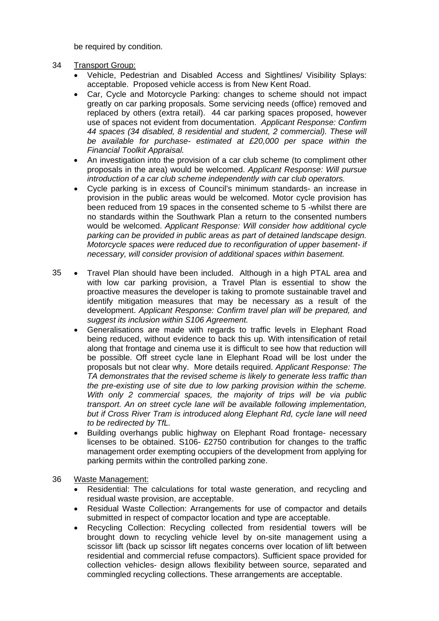be required by condition.

- 34 Transport Group:
	- Vehicle, Pedestrian and Disabled Access and Sightlines/ Visibility Splays: acceptable.Proposed vehicle access is from New Kent Road.
	- Car, Cycle and Motorcycle Parking: changes to scheme should not impact greatly on car parking proposals. Some servicing needs (office) removed and replaced by others (extra retail). 44 car parking spaces proposed, however use of spaces not evident from documentation. *Applicant Response: Confirm 44 spaces (34 disabled, 8 residential and student, 2 commercial). These will be available for purchase- estimated at £20,000 per space within the Financial Toolkit Appraisal.*
	- An investigation into the provision of a car club scheme (to compliment other proposals in the area) would be welcomed. *Applicant Response: Will pursue introduction of a car club scheme independently with car club operators.*
	- Cycle parking is in excess of Council's minimum standards- an increase in provision in the public areas would be welcomed. Motor cycle provision has been reduced from 19 spaces in the consented scheme to 5 -whilst there are no standards within the Southwark Plan a return to the consented numbers would be welcomed. *Applicant Response: Will consider how additional cycle parking can be provided in public areas as part of detained landscape design. Motorcycle spaces were reduced due to reconfiguration of upper basement- if necessary, will consider provision of additional spaces within basement.*
- 35 Travel Plan should have been included. Although in a high PTAL area and with low car parking provision, a Travel Plan is essential to show the proactive measures the developer is taking to promote sustainable travel and identify mitigation measures that may be necessary as a result of the development. *Applicant Response: Confirm travel plan will be prepared, and suggest its inclusion within S106 Agreement.*
	- Generalisations are made with regards to traffic levels in Elephant Road being reduced, without evidence to back this up. With intensification of retail along that frontage and cinema use it is difficult to see how that reduction will be possible. Off street cycle lane in Elephant Road will be lost under the proposals but not clear why. More details required. *Applicant Response: The TA demonstrates that the revised scheme is likely to generate less traffic than the pre-existing use of site due to low parking provision within the scheme. With only 2 commercial spaces, the majority of trips will be via public transport. An on street cycle lane will be available following implementation, but if Cross River Tram is introduced along Elephant Rd, cycle lane will need to be redirected by TfL.*
	- Building overhangs public highway on Elephant Road frontage- necessary licenses to be obtained. S106- £2750 contribution for changes to the traffic management order exempting occupiers of the development from applying for parking permits within the controlled parking zone.
- 36 Waste Management:
	- Residential: The calculations for total waste generation, and recycling and residual waste provision, are acceptable.
	- Residual Waste Collection: Arrangements for use of compactor and details submitted in respect of compactor location and type are acceptable.
	- Recycling Collection: Recycling collected from residential towers will be brought down to recycling vehicle level by on-site management using a scissor lift (back up scissor lift negates concerns over location of lift between residential and commercial refuse compactors). Sufficient space provided for collection vehicles- design allows flexibility between source, separated and commingled recycling collections. These arrangements are acceptable.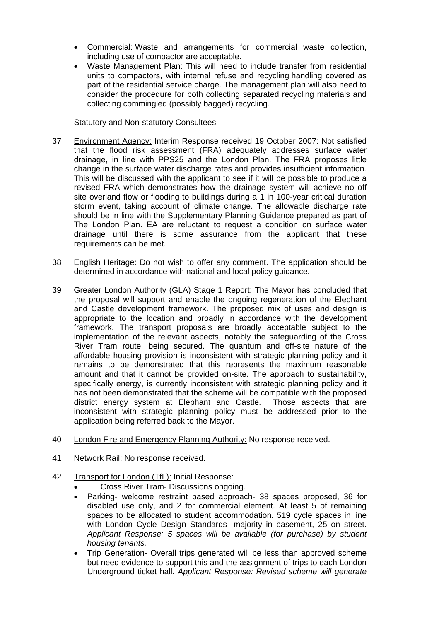- Commercial: Waste and arrangements for commercial waste collection, including use of compactor are acceptable.
- Waste Management Plan: This will need to include transfer from residential units to compactors, with internal refuse and recycling handling covered as part of the residential service charge. The management plan will also need to consider the procedure for both collecting separated recycling materials and collecting commingled (possibly bagged) recycling.

#### Statutory and Non-statutory Consultees

- 37 Environment Agency: Interim Response received 19 October 2007: Not satisfied that the flood risk assessment (FRA) adequately addresses surface water drainage, in line with PPS25 and the London Plan. The FRA proposes little change in the surface water discharge rates and provides insufficient information. This will be discussed with the applicant to see if it will be possible to produce a revised FRA which demonstrates how the drainage system will achieve no off site overland flow or flooding to buildings during a 1 in 100-year critical duration storm event, taking account of climate change. The allowable discharge rate should be in line with the Supplementary Planning Guidance prepared as part of The London Plan. EA are reluctant to request a condition on surface water drainage until there is some assurance from the applicant that these requirements can be met.
- 38 English Heritage: Do not wish to offer any comment. The application should be determined in accordance with national and local policy guidance.
- 39 Greater London Authority (GLA) Stage 1 Report: The Mayor has concluded that the proposal will support and enable the ongoing regeneration of the Elephant and Castle development framework. The proposed mix of uses and design is appropriate to the location and broadly in accordance with the development framework. The transport proposals are broadly acceptable subject to the implementation of the relevant aspects, notably the safeguarding of the Cross River Tram route, being secured. The quantum and off-site nature of the affordable housing provision is inconsistent with strategic planning policy and it remains to be demonstrated that this represents the maximum reasonable amount and that it cannot be provided on-site. The approach to sustainability, specifically energy, is currently inconsistent with strategic planning policy and it has not been demonstrated that the scheme will be compatible with the proposed district energy system at Elephant and Castle. Those aspects that are inconsistent with strategic planning policy must be addressed prior to the application being referred back to the Mayor.
- 40 London Fire and Emergency Planning Authority: No response received.
- 41 Network Rail: No response received.
- 42 Transport for London (TfL): Initial Response:
	- Cross River Tram- Discussions ongoing.
	- Parking- welcome restraint based approach- 38 spaces proposed, 36 for disabled use only, and 2 for commercial element. At least 5 of remaining spaces to be allocated to student accommodation. 519 cycle spaces in line with London Cycle Design Standards- majority in basement, 25 on street. *Applicant Response: 5 spaces will be available (for purchase) by student housing tenants.*
	- Trip Generation- Overall trips generated will be less than approved scheme but need evidence to support this and the assignment of trips to each London Underground ticket hall. *Applicant Response: Revised scheme will generate*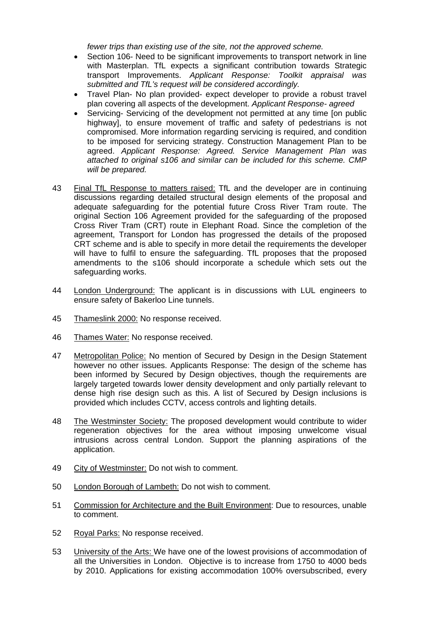*fewer trips than existing use of the site, not the approved scheme.*

- Section 106- Need to be significant improvements to transport network in line with Masterplan. TfL expects a significant contribution towards Strategic transport Improvements. *Applicant Response: Toolkit appraisal was submitted and TfL's request will be considered accordingly.*
- Travel Plan- No plan provided- expect developer to provide a robust travel plan covering all aspects of the development. *Applicant Response- agreed*
- Servicing- Servicing of the development not permitted at any time [on public highway], to ensure movement of traffic and safety of pedestrians is not compromised. More information regarding servicing is required, and condition to be imposed for servicing strategy. Construction Management Plan to be agreed. *Applicant Response: Agreed. Service Management Plan was attached to original s106 and similar can be included for this scheme. CMP will be prepared.*
- 43 Final TfL Response to matters raised: TfL and the developer are in continuing discussions regarding detailed structural design elements of the proposal and adequate safeguarding for the potential future Cross River Tram route. The original Section 106 Agreement provided for the safeguarding of the proposed Cross River Tram (CRT) route in Elephant Road. Since the completion of the agreement, Transport for London has progressed the details of the proposed CRT scheme and is able to specify in more detail the requirements the developer will have to fulfil to ensure the safeguarding. TfL proposes that the proposed amendments to the s106 should incorporate a schedule which sets out the safeguarding works.
- 44 London Underground: The applicant is in discussions with LUL engineers to ensure safety of Bakerloo Line tunnels.
- 45 Thameslink 2000: No response received.
- 46 Thames Water: No response received.
- 47 Metropolitan Police: No mention of Secured by Design in the Design Statement however no other issues. Applicants Response: The design of the scheme has been informed by Secured by Design objectives, though the requirements are largely targeted towards lower density development and only partially relevant to dense high rise design such as this. A list of Secured by Design inclusions is provided which includes CCTV, access controls and lighting details.
- 48 The Westminster Society: The proposed development would contribute to wider regeneration objectives for the area without imposing unwelcome visual intrusions across central London. Support the planning aspirations of the application.
- 49 City of Westminster: Do not wish to comment.
- 50 London Borough of Lambeth: Do not wish to comment.
- 51 Commission for Architecture and the Built Environment: Due to resources, unable to comment.
- 52 Royal Parks: No response received.
- 53 University of the Arts: We have one of the lowest provisions of accommodation of all the Universities in London. Objective is to increase from 1750 to 4000 beds by 2010. Applications for existing accommodation 100% oversubscribed, every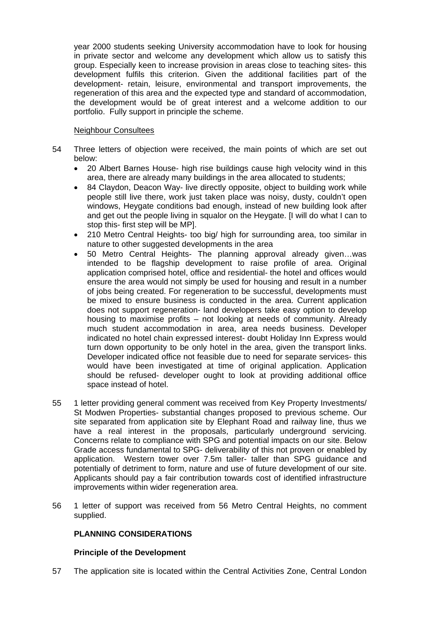year 2000 students seeking University accommodation have to look for housing in private sector and welcome any development which allow us to satisfy this group. Especially keen to increase provision in areas close to teaching sites- this development fulfils this criterion. Given the additional facilities part of the development- retain, leisure, environmental and transport improvements, the regeneration of this area and the expected type and standard of accommodation, the development would be of great interest and a welcome addition to our portfolio. Fully support in principle the scheme.

#### Neighbour Consultees

- 54 Three letters of objection were received, the main points of which are set out below:
	- 20 Albert Barnes House- high rise buildings cause high velocity wind in this area, there are already many buildings in the area allocated to students;
	- 84 Claydon, Deacon Way- live directly opposite, object to building work while people still live there, work just taken place was noisy, dusty, couldn't open windows, Heygate conditions bad enough, instead of new building look after and get out the people living in squalor on the Heygate. [I will do what I can to stop this- first step will be MP].
	- 210 Metro Central Heights- too big/ high for surrounding area, too similar in nature to other suggested developments in the area
	- 50 Metro Central Heights- The planning approval already given…was intended to be flagship development to raise profile of area. Original application comprised hotel, office and residential- the hotel and offices would ensure the area would not simply be used for housing and result in a number of jobs being created. For regeneration to be successful, developments must be mixed to ensure business is conducted in the area. Current application does not support regeneration- land developers take easy option to develop housing to maximise profits – not looking at needs of community. Already much student accommodation in area, area needs business. Developer indicated no hotel chain expressed interest- doubt Holiday Inn Express would turn down opportunity to be only hotel in the area, given the transport links. Developer indicated office not feasible due to need for separate services- this would have been investigated at time of original application. Application should be refused- developer ought to look at providing additional office space instead of hotel.
- 55 1 letter providing general comment was received from Key Property Investments/ St Modwen Properties- substantial changes proposed to previous scheme. Our site separated from application site by Elephant Road and railway line, thus we have a real interest in the proposals, particularly underground servicing. Concerns relate to compliance with SPG and potential impacts on our site. Below Grade access fundamental to SPG- deliverability of this not proven or enabled by application. Western tower over 7.5m taller- taller than SPG guidance and potentially of detriment to form, nature and use of future development of our site. Applicants should pay a fair contribution towards cost of identified infrastructure improvements within wider regeneration area.
- 56 1 letter of support was received from 56 Metro Central Heights, no comment supplied.

### **PLANNING CONSIDERATIONS**

### **Principle of the Development**

57 The application site is located within the Central Activities Zone, Central London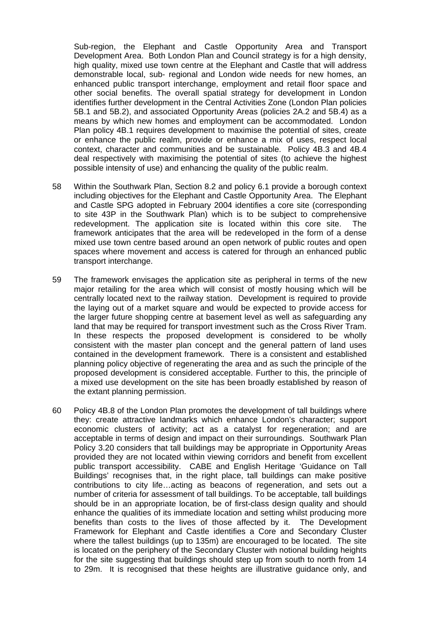Sub-region, the Elephant and Castle Opportunity Area and Transport Development Area. Both London Plan and Council strategy is for a high density, high quality, mixed use town centre at the Elephant and Castle that will address demonstrable local, sub- regional and London wide needs for new homes, an enhanced public transport interchange, employment and retail floor space and other social benefits. The overall spatial strategy for development in London identifies further development in the Central Activities Zone (London Plan policies 5B.1 and 5B.2), and associated Opportunity Areas (policies 2A.2 and 5B.4) as a means by which new homes and employment can be accommodated. London Plan policy 4B.1 requires development to maximise the potential of sites, create or enhance the public realm, provide or enhance a mix of uses, respect local context, character and communities and be sustainable. Policy 4B.3 and 4B.4 deal respectively with maximising the potential of sites (to achieve the highest possible intensity of use) and enhancing the quality of the public realm.

- 58 Within the Southwark Plan, Section 8.2 and policy 6.1 provide a borough context including objectives for the Elephant and Castle Opportunity Area. The Elephant and Castle SPG adopted in February 2004 identifies a core site (corresponding to site 43P in the Southwark Plan) which is to be subject to comprehensive redevelopment. The application site is located within this core site. The framework anticipates that the area will be redeveloped in the form of a dense mixed use town centre based around an open network of public routes and open spaces where movement and access is catered for through an enhanced public transport interchange.
- 59 The framework envisages the application site as peripheral in terms of the new major retailing for the area which will consist of mostly housing which will be centrally located next to the railway station. Development is required to provide the laying out of a market square and would be expected to provide access for the larger future shopping centre at basement level as well as safeguarding any land that may be required for transport investment such as the Cross River Tram. In these respects the proposed development is considered to be wholly consistent with the master plan concept and the general pattern of land uses contained in the development framework. There is a consistent and established planning policy objective of regenerating the area and as such the principle of the proposed development is considered acceptable. Further to this, the principle of a mixed use development on the site has been broadly established by reason of the extant planning permission.
- 60 Policy 4B.8 of the London Plan promotes the development of tall buildings where they: create attractive landmarks which enhance London's character; support economic clusters of activity; act as a catalyst for regeneration; and are acceptable in terms of design and impact on their surroundings. Southwark Plan Policy 3.20 considers that tall buildings may be appropriate in Opportunity Areas provided they are not located within viewing corridors and benefit from excellent public transport accessibility. CABE and English Heritage 'Guidance on Tall Buildings' recognises that, in the right place, tall buildings can make positive contributions to city life…acting as beacons of regeneration, and sets out a number of criteria for assessment of tall buildings. To be acceptable, tall buildings should be in an appropriate location, be of first-class design quality and should enhance the qualities of its immediate location and setting whilst producing more benefits than costs to the lives of those affected by it. The Development Framework for Elephant and Castle identifies a Core and Secondary Cluster where the tallest buildings (up to 135m) are encouraged to be located. The site is located on the periphery of the Secondary Cluster with notional building heights for the site suggesting that buildings should step up from south to north from 14 to 29m. It is recognised that these heights are illustrative guidance only, and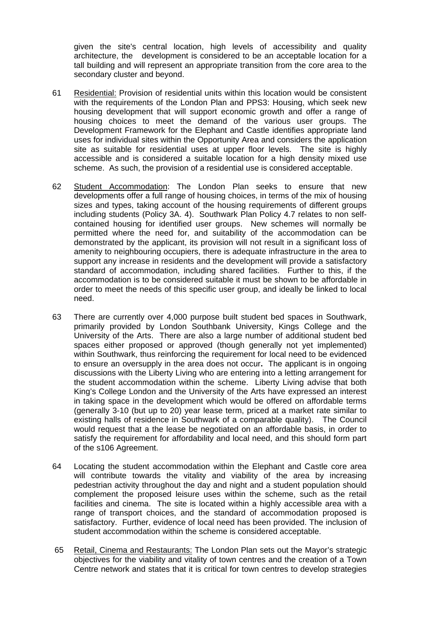given the site's central location, high levels of accessibility and quality architecture, the development is considered to be an acceptable location for a tall building and will represent an appropriate transition from the core area to the secondary cluster and beyond.

- 61 Residential: Provision of residential units within this location would be consistent with the requirements of the London Plan and PPS3: Housing, which seek new housing development that will support economic growth and offer a range of housing choices to meet the demand of the various user groups. The Development Framework for the Elephant and Castle identifies appropriate land uses for individual sites within the Opportunity Area and considers the application site as suitable for residential uses at upper floor levels. The site is highly accessible and is considered a suitable location for a high density mixed use scheme. As such, the provision of a residential use is considered acceptable.
- 62 Student Accommodation: The London Plan seeks to ensure that new developments offer a full range of housing choices, in terms of the mix of housing sizes and types, taking account of the housing requirements of different groups including students (Policy 3A. 4). Southwark Plan Policy 4.7 relates to non selfcontained housing for identified user groups. New schemes will normally be permitted where the need for, and suitability of the accommodation can be demonstrated by the applicant, its provision will not result in a significant loss of amenity to neighbouring occupiers, there is adequate infrastructure in the area to support any increase in residents and the development will provide a satisfactory standard of accommodation, including shared facilities. Further to this, if the accommodation is to be considered suitable it must be shown to be affordable in order to meet the needs of this specific user group, and ideally be linked to local need.
- 63 There are currently over 4,000 purpose built student bed spaces in Southwark, primarily provided by London Southbank University, Kings College and the University of the Arts. There are also a large number of additional student bed spaces either proposed or approved (though generally not yet implemented) within Southwark, thus reinforcing the requirement for local need to be evidenced to ensure an oversupply in the area does not occur**.** The applicant is in ongoing discussions with the Liberty Living who are entering into a letting arrangement for the student accommodation within the scheme. Liberty Living advise that both King's College London and the University of the Arts have expressed an interest in taking space in the development which would be offered on affordable terms (generally 3-10 (but up to 20) year lease term, priced at a market rate similar to existing halls of residence in Southwark of a comparable quality). The Council would request that a the lease be negotiated on an affordable basis, in order to satisfy the requirement for affordability and local need, and this should form part of the s106 Agreement.
- 64 Locating the student accommodation within the Elephant and Castle core area will contribute towards the vitality and viability of the area by increasing pedestrian activity throughout the day and night and a student population should complement the proposed leisure uses within the scheme, such as the retail facilities and cinema. The site is located within a highly accessible area with a range of transport choices, and the standard of accommodation proposed is satisfactory. Further, evidence of local need has been provided. The inclusion of student accommodation within the scheme is considered acceptable.
- 65 Retail, Cinema and Restaurants: The London Plan sets out the Mayor's strategic objectives for the viability and vitality of town centres and the creation of a Town Centre network and states that it is critical for town centres to develop strategies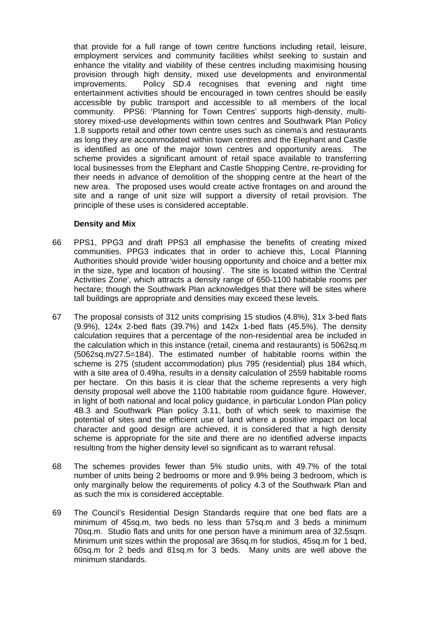that provide for a full range of town centre functions including retail, leisure, employment services and community facilities whilst seeking to sustain and enhance the vitality and viability of these centres including maximising housing provision through high density, mixed use developments and environmental improvements. Policy SD.4 recognises that evening and night time entertainment activities should be encouraged in town centres should be easily accessible by public transport and accessible to all members of the local community. PPS6: 'Planning for Town Centres' supports high-density, multistorey mixed-use developments within town centres and Southwark Plan Policy 1.8 supports retail and other town centre uses such as cinema's and restaurants as long they are accommodated within town centres and the Elephant and Castle is identified as one of the major town centres and opportunity areas. The scheme provides a significant amount of retail space available to transferring local businesses from the Elephant and Castle Shopping Centre, re-providing for their needs in advance of demolition of the shopping centre at the heart of the new area. The proposed uses would create active frontages on and around the site and a range of unit size will support a diversity of retail provision. The principle of these uses is considered acceptable.

#### **Density and Mix**

- 66 PPS1, PPG3 and draft PPS3 all emphasise the benefits of creating mixed communities. PPG3 indicates that in order to achieve this, Local Planning Authorities should provide 'wider housing opportunity and choice and a better mix in the size, type and location of housing'. The site is located within the 'Central Activities Zone', which attracts a density range of 650-1100 habitable rooms per hectare; though the Southwark Plan acknowledges that there will be sites where tall buildings are appropriate and densities may exceed these levels.
- 67 The proposal consists of 312 units comprising 15 studios (4.8%), 31x 3-bed flats (9.9%), 124x 2-bed flats (39.7%) and 142x 1-bed flats (45.5%). The density calculation requires that a percentage of the non-residential area be included in the calculation which in this instance (retail, cinema and restaurants) is 5062sq.m (5062sq.m/27.5=184). The estimated number of habitable rooms within the scheme is 275 (student accommodation) plus 795 (residential) plus 184 which, with a site area of 0.49ha, results in a density calculation of 2559 habitable rooms per hectare. On this basis it is clear that the scheme represents a very high density proposal well above the 1100 habitable room guidance figure. However, in light of both national and local policy guidance, in particular London Plan policy 4B.3 and Southwark Plan policy 3.11, both of which seek to maximise the potential of sites and the efficient use of land where a positive impact on local character and good design are achieved, it is considered that a high density scheme is appropriate for the site and there are no identified adverse impacts resulting from the higher density level so significant as to warrant refusal.
- 68 The schemes provides fewer than 5% studio units, with 49.7% of the total number of units being 2 bedrooms or more and 9.9% being 3 bedroom, which is only marginally below the requirements of policy 4.3 of the Southwark Plan and as such the mix is considered acceptable.
- 69 The Council's Residential Design Standards require that one bed flats are a minimum of 45sq.m, two beds no less than 57sq.m and 3 beds a minimum 70sq.m. Studio flats and units for one person have a minimum area of 32.5sqm. Minimum unit sizes within the proposal are 36sq.m for studios, 45sq.m for 1 bed, 60sq.m for 2 beds and 81sq.m for 3 beds.Many units are well above the minimum standards.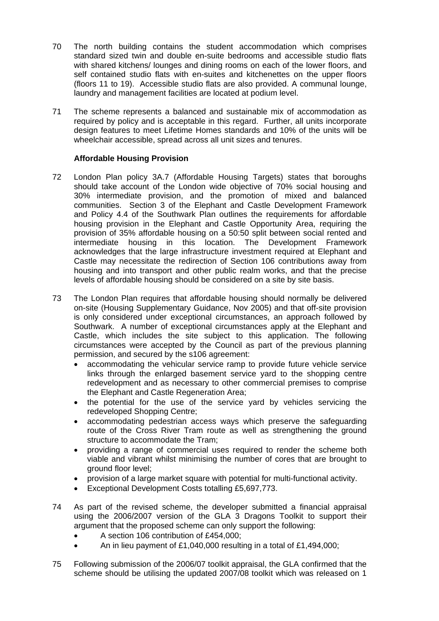- 70 The north building contains the student accommodation which comprises standard sized twin and double en-suite bedrooms and accessible studio flats with shared kitchens/ lounges and dining rooms on each of the lower floors, and self contained studio flats with en-suites and kitchenettes on the upper floors (floors 11 to 19). Accessible studio flats are also provided. A communal lounge, laundry and management facilities are located at podium level.
- 71 The scheme represents a balanced and sustainable mix of accommodation as required by policy and is acceptable in this regard. Further, all units incorporate design features to meet Lifetime Homes standards and 10% of the units will be wheelchair accessible, spread across all unit sizes and tenures.

### **Affordable Housing Provision**

- 72 London Plan policy 3A.7 (Affordable Housing Targets) states that boroughs should take account of the London wide objective of 70% social housing and 30% intermediate provision, and the promotion of mixed and balanced communities. Section 3 of the Elephant and Castle Development Framework and Policy 4.4 of the Southwark Plan outlines the requirements for affordable housing provision in the Elephant and Castle Opportunity Area, requiring the provision of 35% affordable housing on a 50:50 split between social rented and intermediate housing in this location. The Development Framework acknowledges that the large infrastructure investment required at Elephant and Castle may necessitate the redirection of Section 106 contributions away from housing and into transport and other public realm works, and that the precise levels of affordable housing should be considered on a site by site basis.
- 73 The London Plan requires that affordable housing should normally be delivered on-site (Housing Supplementary Guidance, Nov 2005) and that off-site provision is only considered under exceptional circumstances, an approach followed by Southwark. A number of exceptional circumstances apply at the Elephant and Castle, which includes the site subject to this application. The following circumstances were accepted by the Council as part of the previous planning permission, and secured by the s106 agreement:
	- accommodating the vehicular service ramp to provide future vehicle service links through the enlarged basement service yard to the shopping centre redevelopment and as necessary to other commercial premises to comprise the Elephant and Castle Regeneration Area;
	- the potential for the use of the service yard by vehicles servicing the redeveloped Shopping Centre;
	- accommodating pedestrian access ways which preserve the safeguarding route of the Cross River Tram route as well as strengthening the ground structure to accommodate the Tram;
	- providing a range of commercial uses required to render the scheme both viable and vibrant whilst minimising the number of cores that are brought to ground floor level;
	- provision of a large market square with potential for multi-functional activity.
	- Exceptional Development Costs totalling £5,697,773.
- 74 As part of the revised scheme, the developer submitted a financial appraisal using the 2006/2007 version of the GLA 3 Dragons Toolkit to support their argument that the proposed scheme can only support the following:
	- A section 106 contribution of £454,000;
	- An in lieu payment of £1,040,000 resulting in a total of £1,494,000;
- 75 Following submission of the 2006/07 toolkit appraisal, the GLA confirmed that the scheme should be utilising the updated 2007/08 toolkit which was released on 1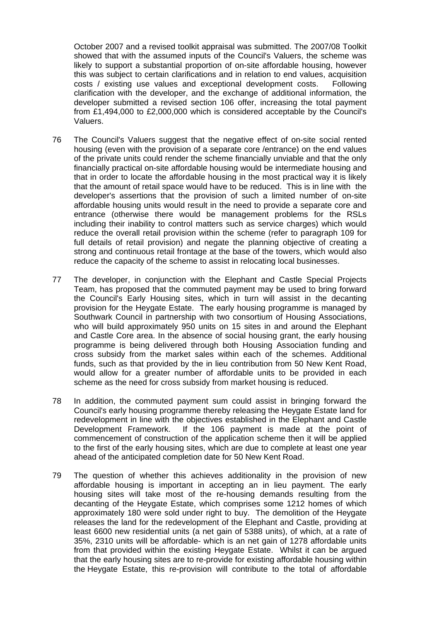October 2007 and a revised toolkit appraisal was submitted. The 2007/08 Toolkit showed that with the assumed inputs of the Council's Valuers, the scheme was likely to support a substantial proportion of on-site affordable housing, however this was subject to certain clarifications and in relation to end values, acquisition costs / existing use values and exceptional development costs. Following clarification with the developer, and the exchange of additional information, the developer submitted a revised section 106 offer, increasing the total payment from £1,494,000 to £2,000,000 which is considered acceptable by the Council's Valuers.

- 76 The Council's Valuers suggest that the negative effect of on-site social rented housing (even with the provision of a separate core /entrance) on the end values of the private units could render the scheme financially unviable and that the only financially practical on-site affordable housing would be intermediate housing and that in order to locate the affordable housing in the most practical way it is likely that the amount of retail space would have to be reduced. This is in line with the developer's assertions that the provision of such a limited number of on-site affordable housing units would result in the need to provide a separate core and entrance (otherwise there would be management problems for the RSLs including their inability to control matters such as service charges) which would reduce the overall retail provision within the scheme (refer to paragraph 109 for full details of retail provision) and negate the planning objective of creating a strong and continuous retail frontage at the base of the towers, which would also reduce the capacity of the scheme to assist in relocating local businesses.
- 77 The developer, in conjunction with the Elephant and Castle Special Projects Team, has proposed that the commuted payment may be used to bring forward the Council's Early Housing sites, which in turn will assist in the decanting provision for the Heygate Estate. The early housing programme is managed by Southwark Council in partnership with two consortium of Housing Associations, who will build approximately 950 units on 15 sites in and around the Elephant and Castle Core area. In the absence of social housing grant, the early housing programme is being delivered through both Housing Association funding and cross subsidy from the market sales within each of the schemes. Additional funds, such as that provided by the in lieu contribution from 50 New Kent Road, would allow for a greater number of affordable units to be provided in each scheme as the need for cross subsidy from market housing is reduced.
- 78 In addition, the commuted payment sum could assist in bringing forward the Council's early housing programme thereby releasing the Heygate Estate land for redevelopment in line with the objectives established in the Elephant and Castle Development Framework. If the 106 payment is made at the point of commencement of construction of the application scheme then it will be applied to the first of the early housing sites, which are due to complete at least one year ahead of the anticipated completion date for 50 New Kent Road.
- 79 The question of whether this achieves additionality in the provision of new affordable housing is important in accepting an in lieu payment. The early housing sites will take most of the re-housing demands resulting from the decanting of the Heygate Estate, which comprises some 1212 homes of which approximately 180 were sold under right to buy. The demolition of the Heygate releases the land for the redevelopment of the Elephant and Castle, providing at least 6600 new residential units (a net gain of 5388 units), of which, at a rate of 35%, 2310 units will be affordable- which is an net gain of 1278 affordable units from that provided within the existing Heygate Estate. Whilst it can be argued that the early housing sites are to re-provide for existing affordable housing within the Heygate Estate, this re-provision will contribute to the total of affordable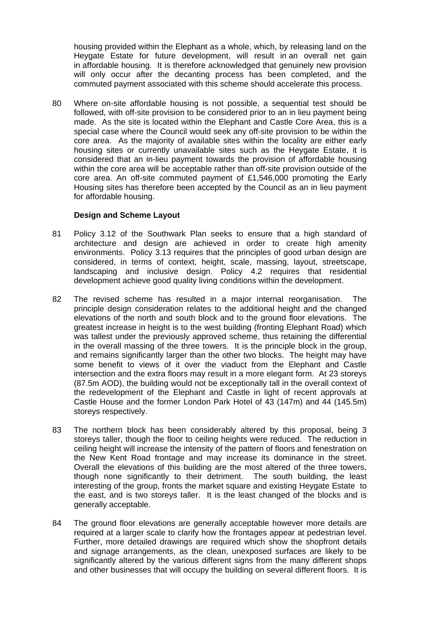housing provided within the Elephant as a whole, which, by releasing land on the Heygate Estate for future development, will result in an overall net gain in affordable housing. It is therefore acknowledged that genuinely new provision will only occur after the decanting process has been completed, and the commuted payment associated with this scheme should accelerate this process.

80 Where on-site affordable housing is not possible, a sequential test should be followed, with off-site provision to be considered prior to an in lieu payment being made. As the site is located within the Elephant and Castle Core Area, this is a special case where the Council would seek any off-site provision to be within the core area. As the majority of available sites within the locality are either early housing sites or currently unavailable sites such as the Heygate Estate, it is considered that an in-lieu payment towards the provision of affordable housing within the core area will be acceptable rather than off-site provision outside of the core area. An off-site commuted payment of £1,546,000 promoting the Early Housing sites has therefore been accepted by the Council as an in lieu payment for affordable housing.

#### **Design and Scheme Layout**

- 81 Policy 3.12 of the Southwark Plan seeks to ensure that a high standard of architecture and design are achieved in order to create high amenity environments. Policy 3.13 requires that the principles of good urban design are considered, in terms of context, height, scale, massing, layout, streetscape, landscaping and inclusive design. Policy 4.2 requires that residential development achieve good quality living conditions within the development.
- 82 The revised scheme has resulted in a major internal reorganisation. The principle design consideration relates to the additional height and the changed elevations of the north and south block and to the ground floor elevations. The greatest increase in height is to the west building (fronting Elephant Road) which was tallest under the previously approved scheme, thus retaining the differential in the overall massing of the three towers. It is the principle block in the group, and remains significantly larger than the other two blocks. The height may have some benefit to views of it over the viaduct from the Elephant and Castle intersection and the extra floors may result in a more elegant form. At 23 storeys (87.5m AOD), the building would not be exceptionally tall in the overall context of the redevelopment of the Elephant and Castle in light of recent approvals at Castle House and the former London Park Hotel of 43 (147m) and 44 (145.5m) storeys respectively.
- 83 The northern block has been considerably altered by this proposal, being 3 storeys taller, though the floor to ceiling heights were reduced. The reduction in ceiling height will increase the intensity of the pattern of floors and fenestration on the New Kent Road frontage and may increase its dominance in the street. Overall the elevations of this building are the most altered of the three towers, though none significantly to their detriment. The south building, the least interesting of the group, fronts the market square and existing Heygate Estate to the east, and is two storeys taller. It is the least changed of the blocks and is generally acceptable.
- 84 The ground floor elevations are generally acceptable however more details are required at a larger scale to clarify how the frontages appear at pedestrian level. Further, more detailed drawings are required which show the shopfront details and signage arrangements, as the clean, unexposed surfaces are likely to be significantly altered by the various different signs from the many different shops and other businesses that will occupy the building on several different floors. It is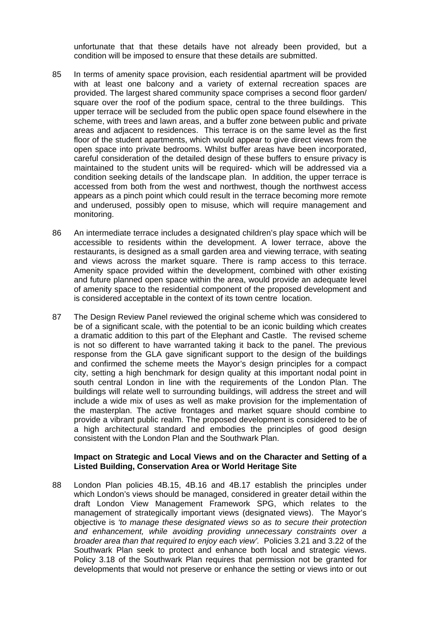unfortunate that that these details have not already been provided, but a condition will be imposed to ensure that these details are submitted.

- 85 In terms of amenity space provision, each residential apartment will be provided with at least one balcony and a variety of external recreation spaces are provided. The largest shared community space comprises a second floor garden/ square over the roof of the podium space, central to the three buildings. This upper terrace will be secluded from the public open space found elsewhere in the scheme, with trees and lawn areas, and a buffer zone between public and private areas and adjacent to residences. This terrace is on the same level as the first floor of the student apartments, which would appear to give direct views from the open space into private bedrooms. Whilst buffer areas have been incorporated, careful consideration of the detailed design of these buffers to ensure privacy is maintained to the student units will be required- which will be addressed via a condition seeking details of the landscape plan. In addition, the upper terrace is accessed from both from the west and northwest, though the northwest access appears as a pinch point which could result in the terrace becoming more remote and underused, possibly open to misuse, which will require management and monitoring.
- 86 An intermediate terrace includes a designated children's play space which will be accessible to residents within the development. A lower terrace, above the restaurants, is designed as a small garden area and viewing terrace, with seating and views across the market square. There is ramp access to this terrace. Amenity space provided within the development, combined with other existing and future planned open space within the area, would provide an adequate level of amenity space to the residential component of the proposed development and is considered acceptable in the context of its town centre location.
- 87 The Design Review Panel reviewed the original scheme which was considered to be of a significant scale, with the potential to be an iconic building which creates a dramatic addition to this part of the Elephant and Castle. The revised scheme is not so different to have warranted taking it back to the panel. The previous response from the GLA gave significant support to the design of the buildings and confirmed the scheme meets the Mayor's design principles for a compact city, setting a high benchmark for design quality at this important nodal point in south central London in line with the requirements of the London Plan. The buildings will relate well to surrounding buildings, will address the street and will include a wide mix of uses as well as make provision for the implementation of the masterplan. The active frontages and market square should combine to provide a vibrant public realm. The proposed development is considered to be of a high architectural standard and embodies the principles of good design consistent with the London Plan and the Southwark Plan.

#### **Impact on Strategic and Local Views and on the Character and Setting of a Listed Building, Conservation Area or World Heritage Site**

88 London Plan policies 4B.15, 4B.16 and 4B.17 establish the principles under which London's views should be managed, considered in greater detail within the draft London View Management Framework SPG, which relates to the management of strategically important views (designated views). The Mayor's objective is *'to manage these designated views so as to secure their protection and enhancement, while avoiding providing unnecessary constraints over a broader area than that required to enjoy each view'.* Policies 3.21 and 3.22 of the Southwark Plan seek to protect and enhance both local and strategic views. Policy 3.18 of the Southwark Plan requires that permission not be granted for developments that would not preserve or enhance the setting or views into or out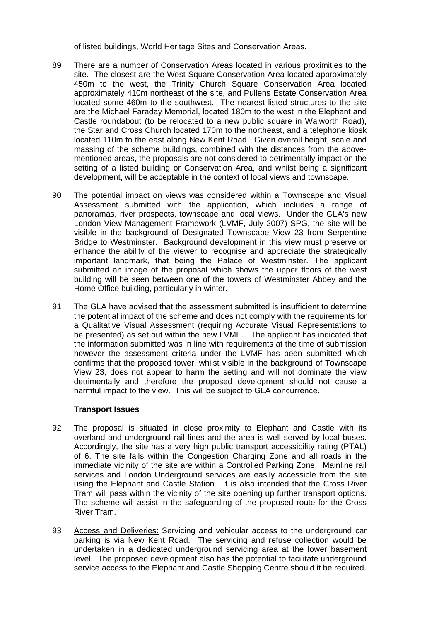of listed buildings, World Heritage Sites and Conservation Areas.

- 89 There are a number of Conservation Areas located in various proximities to the site. The closest are the West Square Conservation Area located approximately 450m to the west, the Trinity Church Square Conservation Area located approximately 410m northeast of the site, and Pullens Estate Conservation Area located some 460m to the southwest. The nearest listed structures to the site are the Michael Faraday Memorial, located 180m to the west in the Elephant and Castle roundabout (to be relocated to a new public square in Walworth Road), the Star and Cross Church located 170m to the northeast, and a telephone kiosk located 110m to the east along New Kent Road. Given overall height, scale and massing of the scheme buildings, combined with the distances from the abovementioned areas, the proposals are not considered to detrimentally impact on the setting of a listed building or Conservation Area, and whilst being a significant development, will be acceptable in the context of local views and townscape.
- 90 The potential impact on views was considered within a Townscape and Visual Assessment submitted with the application, which includes a range of panoramas, river prospects, townscape and local views. Under the GLA's new London View Management Framework (LVMF, July 2007) SPG, the site will be visible in the background of Designated Townscape View 23 from Serpentine Bridge to Westminster. Background development in this view must preserve or enhance the ability of the viewer to recognise and appreciate the strategically important landmark, that being the Palace of Westminster. The applicant submitted an image of the proposal which shows the upper floors of the west building will be seen between one of the towers of Westminster Abbey and the Home Office building, particularly in winter.
- 91 The GLA have advised that the assessment submitted is insufficient to determine the potential impact of the scheme and does not comply with the requirements for a Qualitative Visual Assessment (requiring Accurate Visual Representations to be presented) as set out within the new LVMF. The applicant has indicated that the information submitted was in line with requirements at the time of submission however the assessment criteria under the LVMF has been submitted which confirms that the proposed tower, whilst visible in the background of Townscape View 23, does not appear to harm the setting and will not dominate the view detrimentally and therefore the proposed development should not cause a harmful impact to the view. This will be subject to GLA concurrence.

### **Transport Issues**

- 92 The proposal is situated in close proximity to Elephant and Castle with its overland and underground rail lines and the area is well served by local buses. Accordingly, the site has a very high public transport accessibility rating (PTAL) of 6. The site falls within the Congestion Charging Zone and all roads in the immediate vicinity of the site are within a Controlled Parking Zone. Mainline rail services and London Underground services are easily accessible from the site using the Elephant and Castle Station. It is also intended that the Cross River Tram will pass within the vicinity of the site opening up further transport options. The scheme will assist in the safeguarding of the proposed route for the Cross River Tram.
- 93 Access and Deliveries: Servicing and vehicular access to the underground car parking is via New Kent Road. The servicing and refuse collection would be undertaken in a dedicated underground servicing area at the lower basement level. The proposed development also has the potential to facilitate underground service access to the Elephant and Castle Shopping Centre should it be required.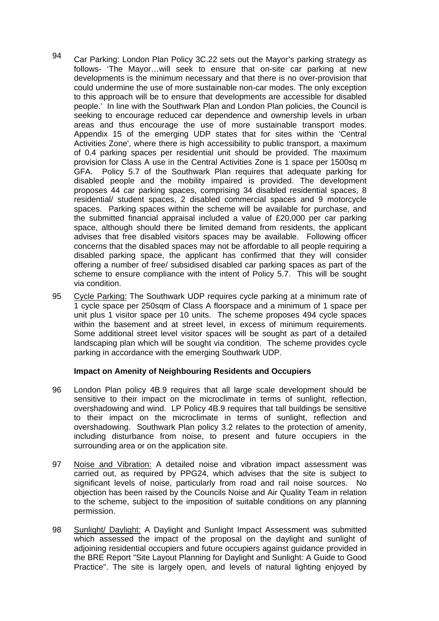- 94 Car Parking: London Plan Policy 3C.22 sets out the Mayor's parking strategy as follows- 'The Mayor…will seek to ensure that on-site car parking at new developments is the minimum necessary and that there is no over-provision that could undermine the use of more sustainable non-car modes. The only exception to this approach will be to ensure that developments are accessible for disabled people.' In line with the Southwark Plan and London Plan policies, the Council is seeking to encourage reduced car dependence and ownership levels in urban areas and thus encourage the use of more sustainable transport modes. Appendix 15 of the emerging UDP states that for sites within the 'Central Activities Zone', where there is high accessibility to public transport, a maximum of 0.4 parking spaces per residential unit should be provided. The maximum provision for Class A use in the Central Activities Zone is 1 space per 1500sq m GFA. Policy 5.7 of the Southwark Plan requires that adequate parking for disabled people and the mobility impaired is provided. The development proposes 44 car parking spaces, comprising 34 disabled residential spaces, 8 residential/ student spaces, 2 disabled commercial spaces and 9 motorcycle spaces. Parking spaces within the scheme will be available for purchase, and the submitted financial appraisal included a value of £20,000 per car parking space, although should there be limited demand from residents, the applicant advises that free disabled visitors spaces may be available. Following officer concerns that the disabled spaces may not be affordable to all people requiring a disabled parking space, the applicant has confirmed that they will consider offering a number of free/ subsidised disabled car parking spaces as part of the scheme to ensure compliance with the intent of Policy 5.7. This will be sought via condition.
- 95 Cycle Parking: The Southwark UDP requires cycle parking at a minimum rate of 1 cycle space per 250sqm of Class A floorspace and a minimum of 1 space per unit plus 1 visitor space per 10 units.The scheme proposes 494 cycle spaces within the basement and at street level, in excess of minimum requirements. Some additional street level visitor spaces will be sought as part of a detailed landscaping plan which will be sought via condition. The scheme provides cycle parking in accordance with the emerging Southwark UDP.

### **Impact on Amenity of Neighbouring Residents and Occupiers**

- 96 London Plan policy 4B.9 requires that all large scale development should be sensitive to their impact on the microclimate in terms of sunlight, reflection, overshadowing and wind. LP Policy 4B.9 requires that tall buildings be sensitive to their impact on the microclimate in terms of sunlight, reflection and overshadowing. Southwark Plan policy 3.2 relates to the protection of amenity, including disturbance from noise, to present and future occupiers in the surrounding area or on the application site.
- 97 Noise and Vibration: A detailed noise and vibration impact assessment was carried out, as required by PPG24, which advises that the site is subject to significant levels of noise, particularly from road and rail noise sources. No objection has been raised by the Councils Noise and Air Quality Team in relation to the scheme, subject to the imposition of suitable conditions on any planning permission.
- 98 Sunlight/ Daylight: A Daylight and Sunlight Impact Assessment was submitted which assessed the impact of the proposal on the daylight and sunlight of adjoining residential occupiers and future occupiers against guidance provided in the BRE Report "Site Layout Planning for Daylight and Sunlight: A Guide to Good Practice". The site is largely open, and levels of natural lighting enjoyed by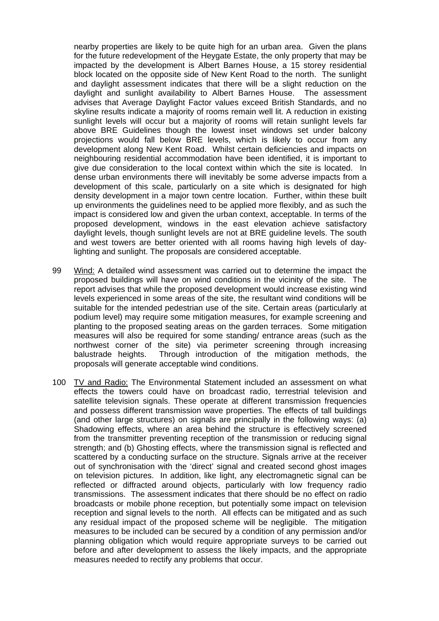nearby properties are likely to be quite high for an urban area. Given the plans for the future redevelopment of the Heygate Estate, the only property that may be impacted by the development is Albert Barnes House, a 15 storey residential block located on the opposite side of New Kent Road to the north. The sunlight and daylight assessment indicates that there will be a slight reduction on the daylight and sunlight availability to Albert Barnes House. The assessment advises that Average Daylight Factor values exceed British Standards, and no skyline results indicate a majority of rooms remain well lit. A reduction in existing sunlight levels will occur but a majority of rooms will retain sunlight levels far above BRE Guidelines though the lowest inset windows set under balcony projections would fall below BRE levels, which is likely to occur from any development along New Kent Road.Whilst certain deficiencies and impacts on neighbouring residential accommodation have been identified, it is important to give due consideration to the local context within which the site is located. In dense urban environments there will inevitably be some adverse impacts from a development of this scale, particularly on a site which is designated for high density development in a major town centre location. Further, within these built up environments the guidelines need to be applied more flexibly, and as such the impact is considered low and given the urban context, acceptable. In terms of the proposed development, windows in the east elevation achieve satisfactory daylight levels, though sunlight levels are not at BRE guideline levels. The south and west towers are better oriented with all rooms having high levels of daylighting and sunlight. The proposals are considered acceptable.

- 99 Wind: A detailed wind assessment was carried out to determine the impact the proposed buildings will have on wind conditions in the vicinity of the site. The report advises that while the proposed development would increase existing wind levels experienced in some areas of the site, the resultant wind conditions will be suitable for the intended pedestrian use of the site. Certain areas (particularly at podium level) may require some mitigation measures, for example screening and planting to the proposed seating areas on the garden terraces. Some mitigation measures will also be required for some standing/ entrance areas (such as the northwest corner of the site) via perimeter screening through increasing balustrade heights. Through introduction of the mitigation methods, the proposals will generate acceptable wind conditions.
- 100 TV and Radio: The Environmental Statement included an assessment on what effects the towers could have on broadcast radio, terrestrial television and satellite television signals. These operate at different transmission frequencies and possess different transmission wave properties. The effects of tall buildings (and other large structures) on signals are principally in the following ways: (a) Shadowing effects, where an area behind the structure is effectively screened from the transmitter preventing reception of the transmission or reducing signal strength; and (b) Ghosting effects, where the transmission signal is reflected and scattered by a conducting surface on the structure. Signals arrive at the receiver out of synchronisation with the 'direct' signal and created second ghost images on television pictures. In addition, like light, any electromagnetic signal can be reflected or diffracted around objects, particularly with low frequency radio transmissions. The assessment indicates that there should be no effect on radio broadcasts or mobile phone reception, but potentially some impact on television reception and signal levels to the north.All effects can be mitigated and as such any residual impact of the proposed scheme will be negligible.The mitigation measures to be included can be secured by a condition of any permission and/or planning obligation which would require appropriate surveys to be carried out before and after development to assess the likely impacts, and the appropriate measures needed to rectify any problems that occur.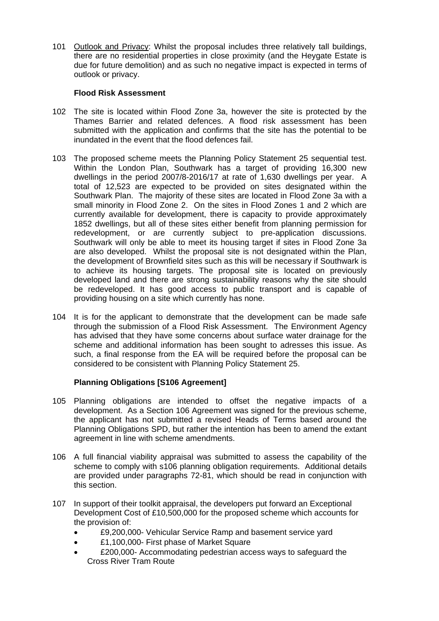101 Outlook and Privacy: Whilst the proposal includes three relatively tall buildings, there are no residential properties in close proximity (and the Heygate Estate is due for future demolition) and as such no negative impact is expected in terms of outlook or privacy.

### **Flood Risk Assessment**

- 102 The site is located within Flood Zone 3a, however the site is protected by the Thames Barrier and related defences. A flood risk assessment has been submitted with the application and confirms that the site has the potential to be inundated in the event that the flood defences fail.
- 103 The proposed scheme meets the Planning Policy Statement 25 sequential test. Within the London Plan, Southwark has a target of providing 16,300 new dwellings in the period 2007/8-2016/17 at rate of 1,630 dwellings per year. A total of 12,523 are expected to be provided on sites designated within the Southwark Plan. The majority of these sites are located in Flood Zone 3a with a small minority in Flood Zone 2. On the sites in Flood Zones 1 and 2 which are currently available for development, there is capacity to provide approximately 1852 dwellings, but all of these sites either benefit from planning permission for redevelopment, or are currently subject to pre-application discussions. Southwark will only be able to meet its housing target if sites in Flood Zone 3a are also developed. Whilst the proposal site is not designated within the Plan, the development of Brownfield sites such as this will be necessary if Southwark is to achieve its housing targets. The proposal site is located on previously developed land and there are strong sustainability reasons why the site should be redeveloped. It has good access to public transport and is capable of providing housing on a site which currently has none.
- 104 It is for the applicant to demonstrate that the development can be made safe through the submission of a Flood Risk Assessment. The Environment Agency has advised that they have some concerns about surface water drainage for the scheme and additional information has been sought to adresses this issue. As such, a final response from the EA will be required before the proposal can be considered to be consistent with Planning Policy Statement 25.

### **Planning Obligations [S106 Agreement]**

- 105 Planning obligations are intended to offset the negative impacts of a development. As a Section 106 Agreement was signed for the previous scheme, the applicant has not submitted a revised Heads of Terms based around the Planning Obligations SPD, but rather the intention has been to amend the extant agreement in line with scheme amendments.
- 106 A full financial viability appraisal was submitted to assess the capability of the scheme to comply with s106 planning obligation requirements. Additional details are provided under paragraphs 72-81, which should be read in conjunction with this section.
- 107 In support of their toolkit appraisal, the developers put forward an Exceptional Development Cost of £10,500,000 for the proposed scheme which accounts for the provision of:
	- £9,200,000- Vehicular Service Ramp and basement service yard
	- £1,100,000- First phase of Market Square
	- £200,000- Accommodating pedestrian access ways to safeguard the Cross River Tram Route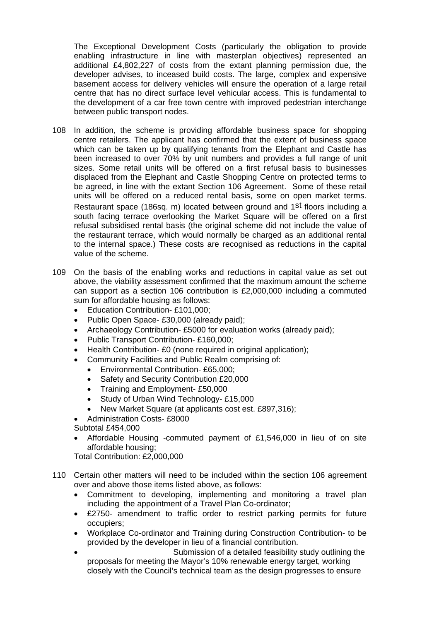The Exceptional Development Costs (particularly the obligation to provide enabling infrastructure in line with masterplan objectives) represented an additional £4,802,227 of costs from the extant planning permission due, the developer advises, to inceased build costs. The large, complex and expensive basement access for delivery vehicles will ensure the operation of a large retail centre that has no direct surface level vehicular access. This is fundamental to the development of a car free town centre with improved pedestrian interchange between public transport nodes.

- 108 In addition, the scheme is providing affordable business space for shopping centre retailers. The applicant has confirmed that the extent of business space which can be taken up by qualifying tenants from the Elephant and Castle has been increased to over 70% by unit numbers and provides a full range of unit sizes. Some retail units will be offered on a first refusal basis to businesses displaced from the Elephant and Castle Shopping Centre on protected terms to be agreed, in line with the extant Section 106 Agreement. Some of these retail units will be offered on a reduced rental basis, some on open market terms. Restaurant space (186sq. m) located between ground and 1st floors including a south facing terrace overlooking the Market Square will be offered on a first refusal subsidised rental basis (the original scheme did not include the value of the restaurant terrace, which would normally be charged as an additional rental to the internal space.) These costs are recognised as reductions in the capital value of the scheme.
- 109 On the basis of the enabling works and reductions in capital value as set out above, the viability assessment confirmed that the maximum amount the scheme can support as a section 106 contribution is £2,000,000 including a commuted sum for affordable housing as follows:
	- Education Contribution- £101,000;
	- Public Open Space- £30,000 (already paid);
	- Archaeology Contribution- £5000 for evaluation works (already paid);
	- Public Transport Contribution- £160,000;
	- Health Contribution- £0 (none required in original application);
	- Community Facilities and Public Realm comprising of:
		- Environmental Contribution- £65,000;
		- Safety and Security Contribution £20,000
		- Training and Employment- £50,000
		- Study of Urban Wind Technology-£15,000
		- New Market Square (at applicants cost est. £897,316);
	- Administration Costs- £8000
	- Subtotal £454,000
	- Affordable Housing -commuted payment of £1,546,000 in lieu of on site affordable housing;

Total Contribution: £2,000,000

- 110 Certain other matters will need to be included within the section 106 agreement over and above those items listed above, as follows:
	- Commitment to developing, implementing and monitoring a travel plan including the appointment of a Travel Plan Co-ordinator;
	- £2750- amendment to traffic order to restrict parking permits for future occupiers;
	- Workplace Co-ordinator and Training during Construction Contribution- to be provided by the developer in lieu of a financial contribution.
	- Submission of a detailed feasibility study outlining the proposals for meeting the Mayor's 10% renewable energy target, working closely with the Council's technical team as the design progresses to ensure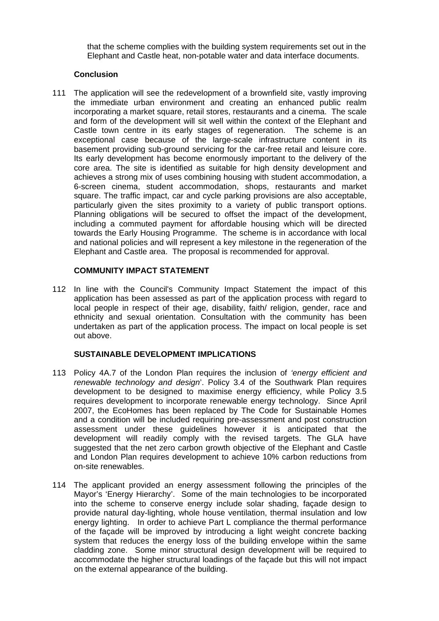that the scheme complies with the building system requirements set out in the Elephant and Castle heat, non-potable water and data interface documents.

### **Conclusion**

111 The application will see the redevelopment of a brownfield site, vastly improving the immediate urban environment and creating an enhanced public realm incorporating a market square, retail stores, restaurants and a cinema. The scale and form of the development will sit well within the context of the Elephant and Castle town centre in its early stages of regeneration. The scheme is an exceptional case because of the large-scale infrastructure content in its basement providing sub-ground servicing for the car-free retail and leisure core. Its early development has become enormously important to the delivery of the core area. The site is identified as suitable for high density development and achieves a strong mix of uses combining housing with student accommodation, a 6-screen cinema, student accommodation, shops, restaurants and market square. The traffic impact, car and cycle parking provisions are also acceptable, particularly given the sites proximity to a variety of public transport options. Planning obligations will be secured to offset the impact of the development, including a commuted payment for affordable housing which will be directed towards the Early Housing Programme. The scheme is in accordance with local and national policies and will represent a key milestone in the regeneration of the Elephant and Castle area. The proposal is recommended for approval.

### **COMMUNITY IMPACT STATEMENT**

112 In line with the Council's Community Impact Statement the impact of this application has been assessed as part of the application process with regard to local people in respect of their age, disability, faith/ religion, gender, race and ethnicity and sexual orientation. Consultation with the community has been undertaken as part of the application process. The impact on local people is set out above.

### **SUSTAINABLE DEVELOPMENT IMPLICATIONS**

- 113 Policy 4A.7 of the London Plan requires the inclusion of *'energy efficient and renewable technology and design*'. Policy 3.4 of the Southwark Plan requires development to be designed to maximise energy efficiency, while Policy 3.5 requires development to incorporate renewable energy technology. Since April 2007, the EcoHomes has been replaced by The Code for Sustainable Homes and a condition will be included requiring pre-assessment and post construction assessment under these guidelines however it is anticipated that the development will readily comply with the revised targets. The GLA have suggested that the net zero carbon growth objective of the Elephant and Castle and London Plan requires development to achieve 10% carbon reductions from on-site renewables.
- 114 The applicant provided an energy assessment following the principles of the Mayor's 'Energy Hierarchy'. Some of the main technologies to be incorporated into the scheme to conserve energy include solar shading, façade design to provide natural day-lighting, whole house ventilation, thermal insulation and low energy lighting. In order to achieve Part L compliance the thermal performance of the façade will be improved by introducing a light weight concrete backing system that reduces the energy loss of the building envelope within the same cladding zone. Some minor structural design development will be required to accommodate the higher structural loadings of the façade but this will not impact on the external appearance of the building.